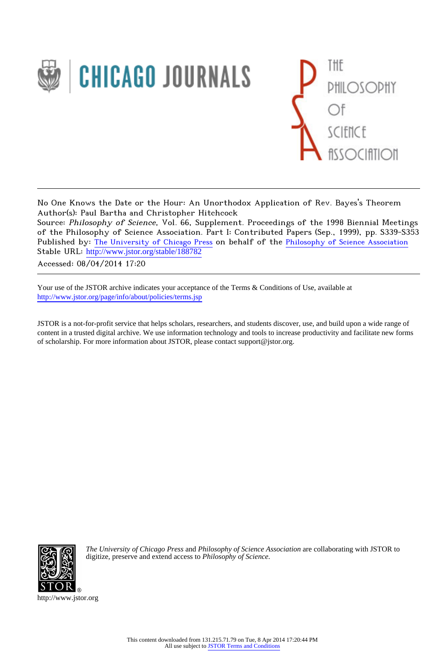



No One Knows the Date or the Hour: An Unorthodox Application of Rev. Bayes's Theorem Author(s): Paul Bartha and Christopher Hitchcock

Source: Philosophy of Science, Vol. 66, Supplement. Proceedings of the 1998 Biennial Meetings of the Philosophy of Science Association. Part I: Contributed Papers (Sep., 1999), pp. S339-S353 Published by: [The University of Chicago Press](http://www.jstor.org/action/showPublisher?publisherCode=ucpress) on behalf of the [Philosophy of Science Association](http://www.jstor.org/action/showPublisher?publisherCode=psa) Stable URL: http://www.jstor.org/stable/188782

Accessed: 08/04/2014 17:20

Your use of the JSTOR archive indicates your acceptance of the Terms & Conditions of Use, available at <http://www.jstor.org/page/info/about/policies/terms.jsp>

JSTOR is a not-for-profit service that helps scholars, researchers, and students discover, use, and build upon a wide range of content in a trusted digital archive. We use information technology and tools to increase productivity and facilitate new forms of scholarship. For more information about JSTOR, please contact support@jstor.org.



*The University of Chicago Press* and *Philosophy of Science Association* are collaborating with JSTOR to digitize, preserve and extend access to *Philosophy of Science.*

http://www.jstor.org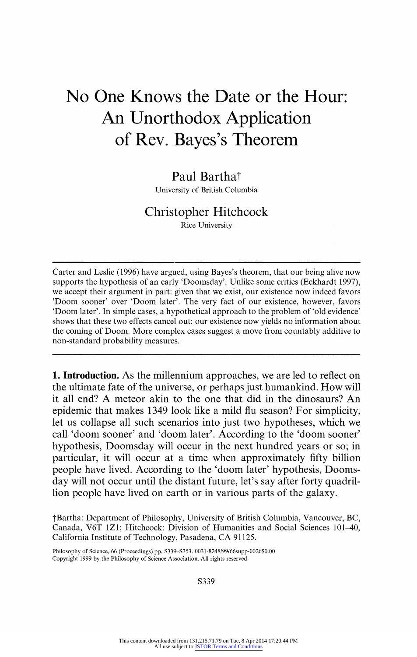# **No One Knows the Date or the Hour: An Unorthodox Application of Rev. Bayes's Theorem**

# Paul Bartha<sup>†</sup>

**University of British Columbia** 

# **Christopher Hitchcock**

**Rice University** 

**Carter and Leslie (1996) have argued, using Bayes's theorem, that our being alive now supports the hypothesis of an early 'Doomsday'. Unlike some critics (Eckhardt 1997), we accept their argument in part: given that we exist, our existence now indeed favors 'Doom sooner' over 'Doom later'. The very fact of our existence, however, favors 'Doom later'. In simple cases, a hypothetical approach to the problem of 'old evidence' shows that these two effects cancel out: our existence now yields no information about the coming of Doom. More complex cases suggest a move from countably additive to non-standard probability measures.** 

**1. Introduction. As the millennium approaches, we are led to reflect on the ultimate fate of the universe, or perhaps just humankind. How will it all end? A meteor akin to the one that did in the dinosaurs? An epidemic that makes 1349 look like a mild flu season? For simplicity, let us collapse all such scenarios into just two hypotheses, which we call 'doom sooner' and 'doom later'. According to the 'doom sooner' hypothesis, Doomsday will occur in the next hundred years or so; in particular, it will occur at a time when approximately fifty billion people have lived. According to the 'doom later' hypothesis, Doomsday will not occur until the distant future, let's say after forty quadrillion people have lived on earth or in various parts of the galaxy.** 

**tBartha: Department of Philosophy, University of British Columbia, Vancouver, BC, Canada, V6T IZI; Hitchcock: Division of Humanities and Social Sciences 101-40, California Institute of Technology, Pasadena, CA 91125.** 

**Philosophy of Science, 66 (Proceedings) pp. S339-S353. 0031-8248/99/66supp-0026\$0.00 Copyright 1999 by the Philosophy of Science Association. All rights reserved.** 

**S339**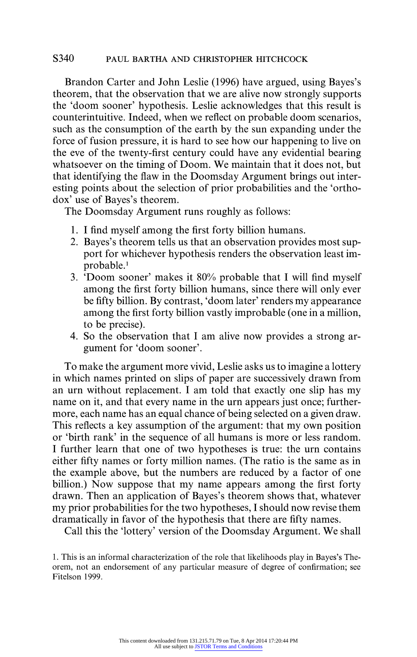#### **S340 PAUL BARTHA AND CHRISTOPHER HITCHCOCK**

**Brandon Carter and John Leslie (1996) have argued, using Bayes's theorem, that the observation that we are alive now strongly supports the 'doom sooner' hypothesis. Leslie acknowledges that this result is counterintuitive. Indeed, when we reflect on probable doom scenarios, such as the consumption of the earth by the sun expanding under the force of fusion pressure, it is hard to see how our happening to live on the eve of the twenty-first century could have any evidential bearing whatsoever on the timing of Doom. We maintain that it does not, but that identifying the flaw in the Doomsday Argument brings out interesting points about the selection of prior probabilities and the 'orthodox' use of Bayes's theorem.** 

**The Doomsday Argument runs roughly as follows:** 

- **1. I find myself among the first forty billion humans.**
- **2. Bayes's theorem tells us that an observation provides most support for whichever hypothesis renders the observation least improbable.'**
- **3. 'Doom sooner' makes it 80% probable that I will find myself among the first forty billion humans, since there will only ever be fifty billion. By contrast, 'doom later' renders my appearance among the first forty billion vastly improbable (one in a million, to be precise).**
- **4. So the observation that I am alive now provides a strong argument for 'doom sooner'.**

**To make the argument more vivid, Leslie asks us to imagine a lottery in which names printed on slips of paper are successively drawn from an urn without replacement. I am told that exactly one slip has my name on it, and that every name in the urn appears just once; furthermore, each name has an equal chance of being selected on a given draw. This reflects a key assumption of the argument: that my own position or 'birth rank' in the sequence of all humans is more or less random. I further learn that one of two hypotheses is true: the urn contains either fifty names or forty million names. (The ratio is the same as in the example above, but the numbers are reduced by a factor of one billion.) Now suppose that my name appears among the first forty drawn. Then an application of Bayes's theorem shows that, whatever my prior probabilities for the two hypotheses, I should now revise them dramatically in favor of the hypothesis that there are fifty names.** 

**Call this the 'lottery' version of the Doomsday Argument. We shall** 

**<sup>1.</sup> This is an informal characterization of the role that likelihoods play in Bayes's Theorem, not an endorsement of any particular measure of degree of confirmation; see Fitelson 1999.**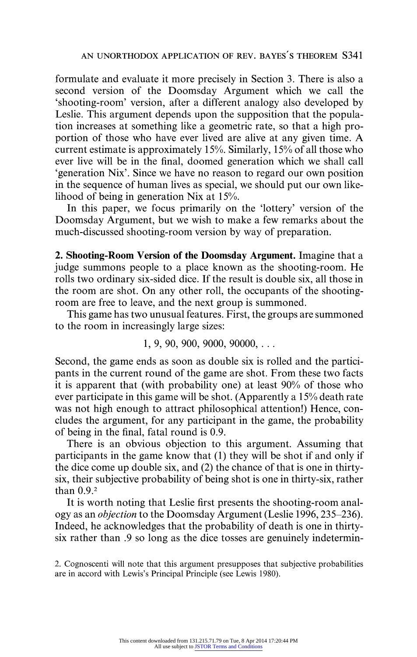**formulate and evaluate it more precisely in Section 3. There is also a second version of the Doomsday Argument which we call the 'shooting-room' version, after a different analogy also developed by Leslie. This argument depends upon the supposition that the population increases at something like a geometric rate, so that a high proportion of those who have ever lived are alive at any given time. A current estimate is approximately 15%. Similarly, 15% of all those who ever live will be in the final, doomed generation which we shall call 'generation Nix'. Since we have no reason to regard our own position in the sequence of human lives as special, we should put our own likelihood of being in generation Nix at 15%.** 

**In this paper, we focus primarily on the 'lottery' version of the Doomsday Argument, but we wish to make a few remarks about the much-discussed shooting-room version by way of preparation.** 

**2. Shooting-Room Version of the Doomsday Argument. Imagine that a judge summons people to a place known as the shooting-room. He rolls two ordinary six-sided dice. If the result is double six, all those in the room are shot. On any other roll, the occupants of the shootingroom are free to leave, and the next group is summoned.** 

**This game has two unusual features. First, the groups are summoned to the room in increasingly large sizes:** 

### **1, 9, 90, 900, 9000, 90000, ...**

**Second, the game ends as soon as double six is rolled and the participants in the current round of the game are shot. From these two facts it is apparent that (with probability one) at least 90% of those who ever participate in this game will be shot. (Apparently a 15% death rate was not high enough to attract philosophical attention!) Hence, concludes the argument, for any participant in the game, the probability of being in the final, fatal round is 0.9.** 

**There is an obvious objection to this argument. Assuming that participants in the game know that (1) they will be shot if and only if the dice come up double six, and (2) the chance of that is one in thirtysix, their subjective probability of being shot is one in thirty-six, rather than 0.9.2** 

**It is worth noting that Leslie first presents the shooting-room analogy as an objection to the Doomsday Argument (Leslie 1996,235-236). Indeed, he acknowledges that the probability of death is one in thirtysix rather than .9 so long as the dice tosses are genuinely indetermin-**

**<sup>2.</sup> Cognoscenti will note that this argument presupposes that subjective probabilities are in accord with Lewis's Principal Principle (see Lewis 1980).**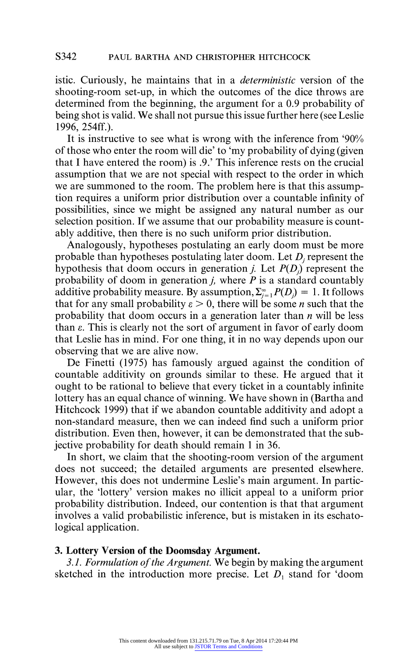**istic. Curiously, he maintains that in a deterministic version of the shooting-room set-up, in which the outcomes of the dice throws are determined from the beginning, the argument for a 0.9 probability of being shot is valid. We shall not pursue this issue further here (see Leslie 1996, 254ff.).** 

**It is instructive to see what is wrong with the inference from '90% of those who enter the room will die' to 'my probability of dying (given that I have entered the room) is .9.' This inference rests on the crucial assumption that we are not special with respect to the order in which we are summoned to the room. The problem here is that this assumption requires a uniform prior distribution over a countable infinity of possibilities, since we might be assigned any natural number as our selection position. If we assume that our probability measure is countably additive, then there is no such uniform prior distribution.** 

**Analogously, hypotheses postulating an early doom must be more**  probable than hypotheses postulating later doom. Let D<sub>i</sub> represent the hypothesis that doom occurs in generation *j*. Let  $P(D_i)$  represent the probability of doom in generation  $j$ , where  $\overline{P}$  is a standard countably additive probability measure. By assumption,  $\sum_{i=1}^{\infty} P(D_i) = 1$ . It follows that for any small probability  $\varepsilon > 0$ , there will be some *n* such that the **probability that doom occurs in a generation later than n will be less**  than  $\varepsilon$ . This is clearly not the sort of argument in favor of early doom **that Leslie has in mind. For one thing, it in no way depends upon our observing that we are alive now.** 

**De Finetti (1975) has famously argued against the condition of countable additivity on grounds similar to these. He argued that it ought to be rational to believe that every ticket in a countably infinite lottery has an equal chance of winning. We have shown in (Bartha and Hitchcock 1999) that if we abandon countable additivity and adopt a non-standard measure, then we can indeed find such a uniform prior distribution. Even then, however, it can be demonstrated that the subjective probability for death should remain 1 in 36.** 

**In short, we claim that the shooting-room version of the argument does not succeed; the detailed arguments are presented elsewhere. However, this does not undermine Leslie's main argument. In particular, the 'lottery' version makes no illicit appeal to a uniform prior probability distribution. Indeed, our contention is that that argument involves a valid probabilistic inference, but is mistaken in its eschatological application.** 

#### **3. Lottery Version of the Doomsday Argument.**

**3.1. Formulation of the Argument. We begin by making the argument**  sketched in the introduction more precise. Let  $D_1$  stand for 'doom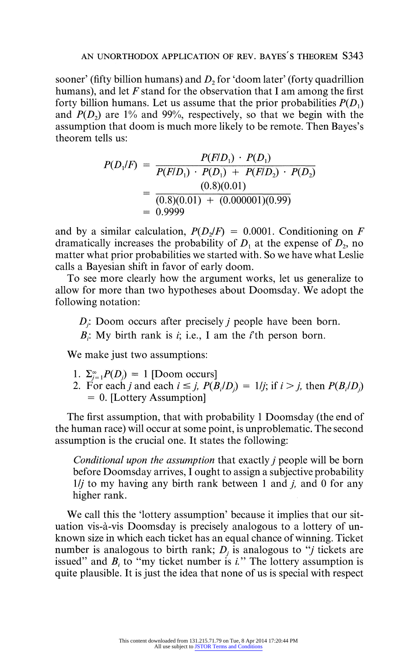**sooner' (fifty billion humans) and D, for 'doom later' (forty quadrillion humans), and let F stand for the observation that I am among the first**  forty billion humans. Let us assume that the prior probabilities  $P(D_1)$ and  $P(D_2)$  are 1% and 99%, respectively, so that we begin with the **assumption that doom is much more likely to be remote. Then Bayes's theorem tells us:** 

$$
P(D_1/F) = \frac{P(F/D_1) \cdot P(D_1)}{P(F/D_1) \cdot P(D_1) + P(F/D_2) \cdot P(D_2)}
$$
  
= 
$$
\frac{(0.8)(0.01)}{(0.8)(0.01) + (0.000001)(0.99)}
$$
  
= 0.9999

and by a similar calculation,  $P(D_1/F) = 0.0001$ . Conditioning on F dramatically increases the probability of  $D_1$  at the expense of  $D_2$ , no **matter what prior probabilities we started with. So we have what Leslie calls a Bayesian shift in favor of early doom.** 

**To see more clearly how the argument works, let us generalize to allow for more than two hypotheses about Doomsday. We adopt the following notation:** 

**D**; Doom occurs after precisely *j* people have been born.

 $B_i$ : My birth rank is *i*; i.e., I am the *i*<sup>th</sup> person born.

**We make just two assumptions:** 

- 1.  $\Sigma_{i=1}^{\infty}P(D_i) = 1$  [Doom occurs]
- 2. For each *j* and each  $i \leq j$ ,  $P(B_i/D_i) = 1/j$ ; if  $i > j$ , then  $P(B_i/D_i)$ **- 0. [Lottery Assumption]**

**The first assumption, that with probability 1 Doomsday (the end of the human race) will occur at some point, is unproblematic. The second assumption is the crucial one. It states the following:** 

**Conditional upon the assumption that exactly j people will be born before Doomsday arrives, I ought to assign a subjective probability 1/j to my having any birth rank between 1 and j, and 0 for any higher rank.** 

**We call this the 'lottery assumption' because it implies that our situation vis-a-vis Doomsday is precisely analogous to a lottery of unknown size in which each ticket has an equal chance of winning. Ticket**  number is analogous to birth rank;  $D_i$  is analogous to "*j* tickets are issued" and  $B_i$  to "my ticket number is  $i$ ." The lottery assumption is **quite plausible. It is just the idea that none of us is special with respect**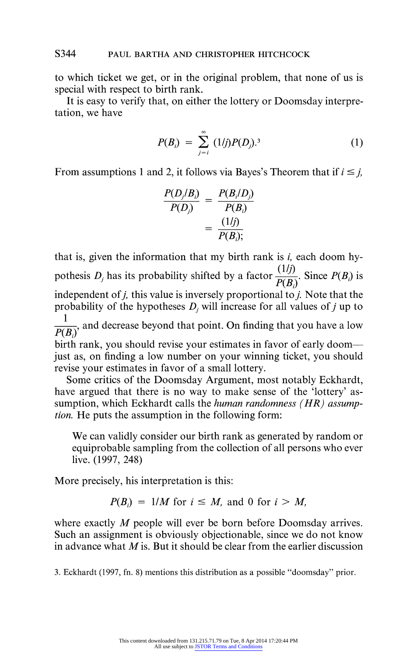**to which ticket we get, or in the original problem, that none of us is special with respect to birth rank.** 

**It is easy to verify that, on either the lottery or Doomsday interpretation, we have** 

$$
P(B_i) = \sum_{j=i}^{\infty} (1/j) P(D_j).^3
$$
 (1)

From assumptions 1 and 2, it follows via Bayes's Theorem that if  $i \leq j$ ,

$$
\frac{P(D_j/B_i)}{P(D_j)} = \frac{P(B_i/D_j)}{P(B_i)}
$$

$$
= \frac{(1/j)}{P(B_i)}.
$$

**that is, given the information that my birth rank is i, each doom hy**pothesis  $D_j$  has its probability shifted by a factor  $\frac{(1/j)}{P(B_i)}$ . Since  $P(B_i)$  is  $\mathbf{i}$  independent of  $\mathbf{j}$ , this value is inversely proportional to  $\mathbf{j}$ . Note that the probability of the hypotheses  $D_i$  will increase for all values of  $j$  up to  $\frac{1}{P(B)}$  and decrease beyond that point. On finding that you have a low **birth rank, you should revise your estimates in favor of early doomjust as, on finding a low number on your winning ticket, you should revise your estimates in favor of a small lottery.** 

**Some critics of the Doomsday Argument, most notably Eckhardt, have argued that there is no way to make sense of the 'lottery' assumption, which Eckhardt calls the human randomness (HR) assumption. He puts the assumption in the following form:** 

**We can validly consider our birth rank as generated by random or equiprobable sampling from the collection of all persons who ever live. (1997, 248)** 

**More precisely, his interpretation is this:** 

$$
P(B_i) = 1/M \text{ for } i \leq M, \text{ and } 0 \text{ for } i > M,
$$

**where exactly M people will ever be born before Doomsday arrives. Such an assignment is obviously objectionable, since we do not know in advance what M is. But it should be clear from the earlier discussion** 

**3. Eckhardt (1997, fn. 8) mentions this distribution as a possible "doomsday" prior.**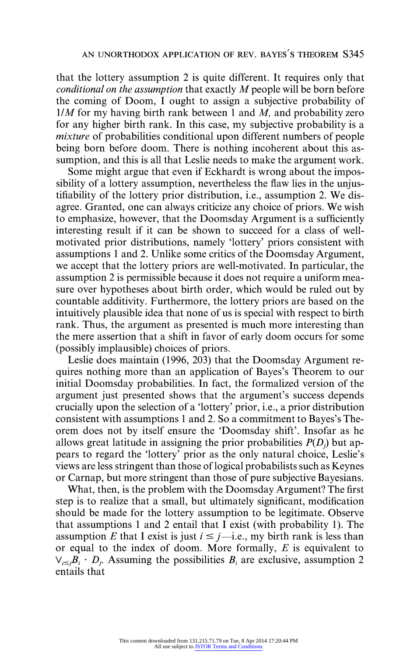**that the lottery assumption 2 is quite different. It requires only that conditional on the assumption that exactly M people will be born before the coming of Doom, I ought to assign a subjective probability of 1IM for my having birth rank between 1 and M, and probability zero for any higher birth rank. In this case, my subjective probability is a mixture of probabilities conditional upon different numbers of people being born before doom. There is nothing incoherent about this assumption, and this is all that Leslie needs to make the argument work.** 

**Some might argue that even if Eckhardt is wrong about the impossibility of a lottery assumption, nevertheless the flaw lies in the unjustifiability of the lottery prior distribution, i.e., assumption 2. We disagree. Granted, one can always criticize any choice of priors. We wish to emphasize, however, that the Doomsday Argument is a sufficiently interesting result if it can be shown to succeed for a class of wellmotivated prior distributions, namely 'lottery' priors consistent with assumptions 1 and 2. Unlike some critics of the Doomsday Argument, we accept that the lottery priors are well-motivated. In particular, the assumption 2 is permissible because it does not require a uniform measure over hypotheses about birth order, which would be ruled out by countable additivity. Furthermore, the lottery priors are based on the intuitively plausible idea that none of us is special with respect to birth rank. Thus, the argument as presented is much more interesting than the mere assertion that a shift in favor of early doom occurs for some (possibly implausible) choices of priors.** 

**Leslie does maintain (1996, 203) that the Doomsday Argument requires nothing more than an application of Bayes's Theorem to our initial Doomsday probabilities. In fact, the formalized version of the argument just presented shows that the argument's success depends crucially upon the selection of a 'lottery' prior, i.e., a prior distribution consistent with assumptions 1 and 2. So a commitment to Bayes's Theorem does not by itself ensure the 'Doomsday shift'. Insofar as he allows great latitude in assigning the prior probabilities P(D) but appears to regard the 'lottery' prior as the only natural choice, Leslie's views are less stringent than those of logical probabilists such as Keynes or Carnap, but more stringent than those of pure subjective Bayesians.** 

**What, then, is the problem with the Doomsday Argument? The first step is to realize that a small, but ultimately significant, modification should be made for the lottery assumption to be legitimate. Observe that assumptions 1 and 2 entail that I exist (with probability 1). The**  assumption E that I exist is just  $i \leq j$ —i.e., my birth rank is less than **or equal to the index of doom. More formally, E is equivalent to**   $V_{i\leq i}B_i \cdot D_i$ . Assuming the possibilities  $B_i$  are exclusive, assumption 2 **entails that**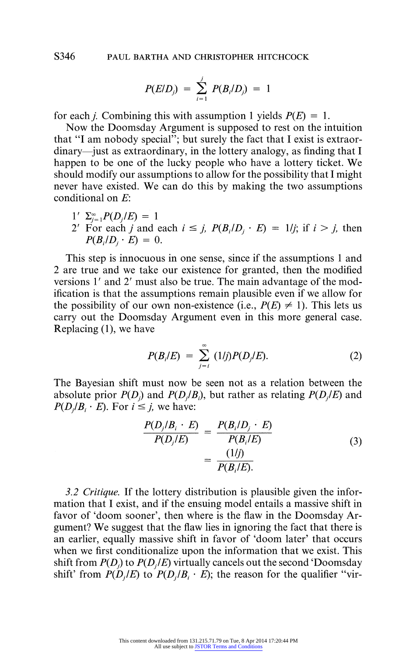**S346 PAUL BARTHA AND CHRISTOPHER HITCHCOCK** 

$$
P(E/D_j) = \sum_{i=1}^{j} P(B_i/D_j) = 1
$$

for each *i*. Combining this with assumption 1 yields  $P(E) = 1$ .

**Now the Doomsday Argument is supposed to rest on the intuition that "I am nobody special"; but surely the fact that I exist is extraor**dinary—just as extraordinary, in the lottery analogy, as finding that I **happen to be one of the lucky people who have a lottery ticket. We should modify our assumptions to allow for the possibility that I might never have existed. We can do this by making the two assumptions conditional on E:** 

$$
1' \Sigma_{j=1}^{\infty} P(D_j/E) = 1
$$

**2'** For each *j* and each  $i \leq j$ ,  $P(B_i/D_j \cdot E) = 1/j$ ; if  $i > j$ , then  $P(B_i/D_i \cdot E) = 0.$ 

**This step is innocuous in one sense, since if the assumptions 1 and 2 are true and we take our existence for granted, then the modified versions 1' and 2' must also be true. The main advantage of the modification is that the assumptions remain plausible even if we allow for**  the possibility of our own non-existence (i.e.,  $P(E) \neq 1$ ). This lets us **carry out the Doomsday Argument even in this more general case. Replacing (1), we have** 

$$
P(B_i/E) = \sum_{j=i}^{\infty} (1/j)P(D_j/E).
$$
 (2)

**The Bayesian shift must now be seen not as a relation between the**  absolute prior  $P(D_i)$  and  $P(D_i/B_i)$ , but rather as relating  $P(D_i/E)$  and  $P(D_i/B_i \cdot E)$ . For  $i \leq j$ , we have:

$$
\frac{P(D_j/B_i \cdot E)}{P(D_j/E)} = \frac{P(B_i/D_j \cdot E)}{P(B_i/E)}
$$
\n
$$
= \frac{(1/j)}{P(B_i/E)}.
$$
\n(3)

**3.2 Critique. If the lottery distribution is plausible given the information that I exist, and if the ensuing model entails a massive shift in favor of 'doom sooner', then where is the flaw in the Doomsday Argument? We suggest that the flaw lies in ignoring the fact that there is an earlier, equally massive shift in favor of 'doom later' that occurs when we first conditionalize upon the information that we exist. This**  shift from  $P(D_j)$  to  $P(D_j/E)$  virtually cancels out the second 'Doomsday shift' from  $P(D_i/E)$  to  $P(D_i/B_i \cdot E)$ ; the reason for the qualifier "vir-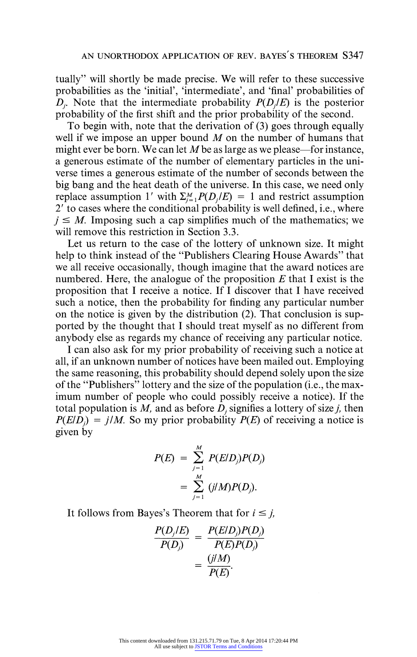**tually" will shortly be made precise. We will refer to these successive probabilities as the 'initial', 'intermediate', and 'final' probabilities of**   $D<sub>i</sub>$ . Note that the intermediate probability  $P(D/E)$  is the posterior **probability of the first shift and the prior probability of the second.** 

**To begin with, note that the derivation of (3) goes through equally well if we impose an upper bound M on the number of humans that**  might ever be born. We can let M be as large as we please—for instance, **a generous estimate of the number of elementary particles in the universe times a generous estimate of the number of seconds between the big bang and the heat death of the universe. In this case, we need only**  replace assumption 1' with  $\Sigma_{i=1}^M P(D_i/E) = 1$  and restrict assumption **2' to cases where the conditional probability is well defined, i.e., where**   $i \leq M$ . Imposing such a cap simplifies much of the mathematics; we **will remove this restriction in Section 3.3.** 

**Let us return to the case of the lottery of unknown size. It might help to think instead of the "Publishers Clearing House Awards" that we all receive occasionally, though imagine that the award notices are numbered. Here, the analogue of the proposition E that I exist is the proposition that I receive a notice. If I discover that I have received such a notice, then the probability for finding any particular number on the notice is given by the distribution (2). That conclusion is supported by the thought that I should treat myself as no different from anybody else as regards my chance of receiving any particular notice.** 

**I can also ask for my prior probability of receiving such a notice at all, if an unknown number of notices have been mailed out. Employing the same reasoning, this probability should depend solely upon the size of the "Publishers" lottery and the size of the population (i.e., the maximum number of people who could possibly receive a notice). If the**  total population is  $M$ , and as before  $D_i$  signifies a lottery of size  $j$ , then  $P(E|D) = i/M$ . So my prior probability  $P(E)$  of receiving a notice is **given by** 

$$
P(E) = \sum_{j=1}^{M} P(E/D_j)P(D_j) \\
= \sum_{j=1}^{M} (j/M)P(D_j).
$$

It follows from Bayes's Theorem that for  $i \leq j$ ,

$$
\frac{P(D_j/E)}{P(D_j)} = \frac{P(E/D_j)P(D_j)}{P(E)P(D_j)}
$$

$$
= \frac{(j/M)}{P(E)}.
$$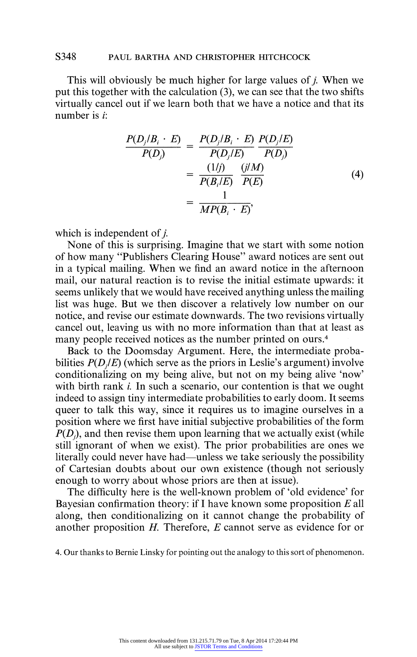#### **S348 PAUL BARTHA AND CHRISTOPHER HITCHCOCK**

**This will obviously be much higher for large values of j. When we put this together with the calculation (3), we can see that the two shifts virtually cancel out if we learn both that we have a notice and that its number is i:** 

$$
\frac{P(D_j/B_i \cdot E)}{P(D_j)} = \frac{P(D_j/B_i \cdot E)}{P(D_j/E)} \frac{P(D_j/E)}{P(D_j)}
$$
  
= 
$$
\frac{(1/j)}{P(B_i/E)} \frac{(j/M)}{P(E)}
$$
  
= 
$$
\frac{1}{MP(B_i \cdot E)},
$$
 (4)

**which is independent of j.** 

**None of this is surprising. Imagine that we start with some notion of how many "Publishers Clearing House" award notices are sent out in a typical mailing. When we find an award notice in the afternoon mail, our natural reaction is to revise the initial estimate upwards: it seems unlikely that we would have received anything unless the mailing list was huge. But we then discover a relatively low number on our notice, and revise our estimate downwards. The two revisions virtually cancel out, leaving us with no more information than that at least as many people received notices as the number printed on ours.4** 

**Back to the Doomsday Argument. Here, the intermediate proba**bilities  $P(D|E)$  (which serve as the priors in Leslie's argument) involve **conditionalizing on my being alive, but not on my being alive 'now' with birth rank i. In such a scenario, our contention is that we ought indeed to assign tiny intermediate probabilities to early doom. It seems queer to talk this way, since it requires us to imagine ourselves in a position where we first have initial subjective probabilities of the form**   $P(D_i)$ , and then revise them upon learning that we actually exist (while **still ignorant of when we exist). The prior probabilities are ones we**  literally could never have had—unless we take seriously the possibility **of Cartesian doubts about our own existence (though not seriously enough to worry about whose priors are then at issue).** 

**The difficulty here is the well-known problem of 'old evidence' for Bayesian confirmation theory: if I have known some proposition E all along, then conditionalizing on it cannot change the probability of another proposition H. Therefore, E cannot serve as evidence for or** 

**4. Our thanks to Bernie Linsky for pointing out the analogy to this sort of phenomenon.**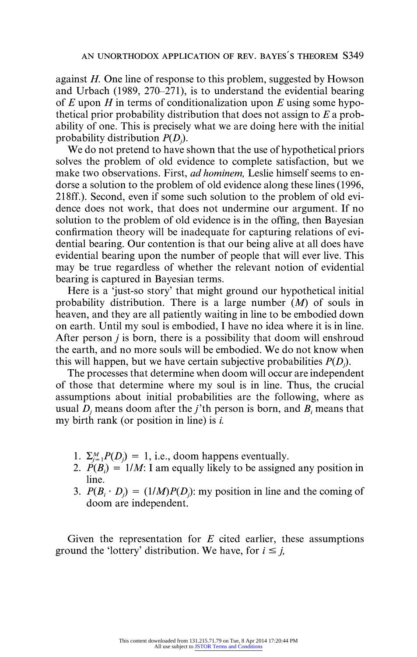**against H. One line of response to this problem, suggested by Howson and Urbach (1989, 270-271), is to understand the evidential bearing of E upon H in terms of conditionalization upon E using some hypothetical prior probability distribution that does not assign to E a probability of one. This is precisely what we are doing here with the initial probability distribution P(D).** 

**We do not pretend to have shown that the use of hypothetical priors solves the problem of old evidence to complete satisfaction, but we make two observations. First, ad hominem, Leslie himself seems to endorse a solution to the problem of old evidence along these lines (1996, 218ff.). Second, even if some such solution to the problem of old evidence does not work, that does not undermine our argument. If no solution to the problem of old evidence is in the offing, then Bayesian confirmation theory will be inadequate for capturing relations of evidential bearing. Our contention is that our being alive at all does have evidential bearing upon the number of people that will ever live. This may be true regardless of whether the relevant notion of evidential bearing is captured in Bayesian terms.** 

**Here is a 'just-so story' that might ground our hypothetical initial probability distribution. There is a large number (M) of souls in heaven, and they are all patiently waiting in line to be embodied down on earth. Until my soul is embodied, I have no idea where it is in line. After person j is born, there is a possibility that doom will enshroud the earth, and no more souls will be embodied. We do not know when**  this will happen, but we have certain subjective probabilities  $P(D)$ .

**The processes that determine when doom will occur are independent of those that determine where my soul is in line. Thus, the crucial assumptions about initial probabilities are the following, where as**  usual  $D_i$  means doom after the *j*'th person is born, and  $B_i$  means that **my birth rank (or position in line) is i.** 

- 1.  $\Sigma_{i=1}^{M} P(D_i) = 1$ , i.e., doom happens eventually.
- 2.  $P(B_i) = 1/M$ : I am equally likely to be assigned any position in **line.**
- 3.  $P(B_i \cdot D_i) = (1/M)P(D_i)$ ; my position in line and the coming of **doom are independent.**

**Given the representation for E cited earlier, these assumptions**  ground the 'lottery' distribution. We have, for  $i \leq j$ ,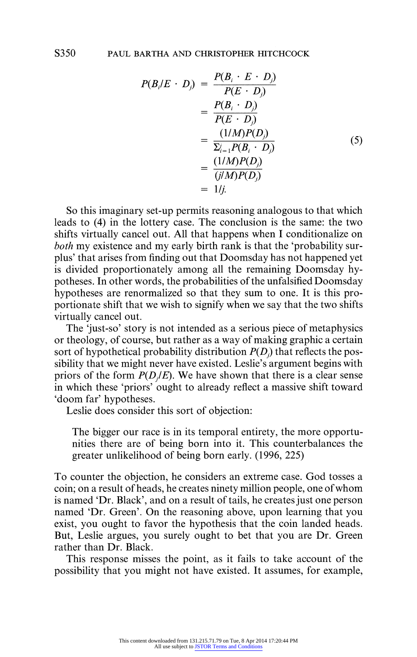$$
P(B_i/E \cdot D_j) = \frac{P(B_i \cdot E \cdot D_j)}{P(E \cdot D_j)}
$$
  
= 
$$
\frac{P(B_i \cdot D_j)}{P(E \cdot D_j)}
$$
  
= 
$$
\frac{(1/M)P(D_j)}{\Sigma_{i=1}^j P(B_i \cdot D_j)}
$$
  
= 
$$
\frac{(1/M)P(D_j)}{(j/M)P(D_j)}
$$
  
= 
$$
1/j.
$$
 (5)

**So this imaginary set-up permits reasoning analogous to that which leads to (4) in the lottery case. The conclusion is the same: the two shifts virtually cancel out. All that happens when I conditionalize on both my existence and my early birth rank is that the 'probability surplus' that arises from finding out that Doomsday has not happened yet is divided proportionately among all the remaining Doomsday hypotheses. In other words, the probabilities of the unfalsified Doomsday hypotheses are renormalized so that they sum to one. It is this proportionate shift that we wish to signify when we say that the two shifts virtually cancel out.** 

**The 'just-so' story is not intended as a serious piece of metaphysics or theology, of course, but rather as a way of making graphic a certain**  sort of hypothetical probability distribution  $P(D_i)$  that reflects the pos**sibility that we might never have existed. Leslie's argument begins with**  priors of the form  $P(D|E)$ . We have shown that there is a clear sense **in which these 'priors' ought to already reflect a massive shift toward 'doom far' hypotheses.** 

**Leslie does consider this sort of objection:** 

**The bigger our race is in its temporal entirety, the more opportunities there are of being born into it. This counterbalances the greater unlikelihood of being born early. (1996, 225)** 

**To counter the objection, he considers an extreme case. God tosses a coin; on a result of heads, he creates ninety million people, one of whom is named 'Dr. Black', and on a result of tails, he creates just one person named 'Dr. Green'. On the reasoning above, upon learning that you exist, you ought to favor the hypothesis that the coin landed heads. But, Leslie argues, you surely ought to bet that you are Dr. Green rather than Dr. Black.** 

**This response misses the point, as it fails to take account of the possibility that you might not have existed. It assumes, for example,**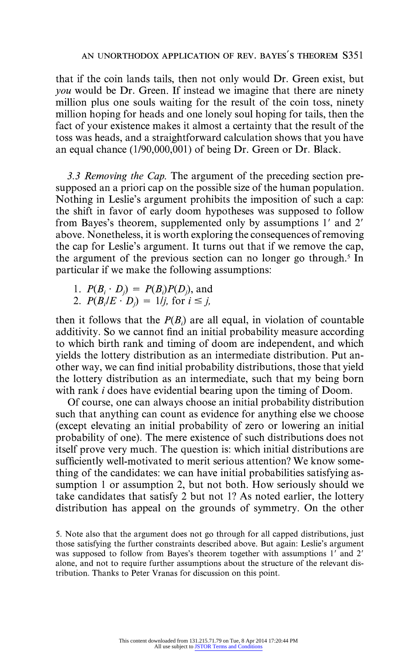**that if the coin lands tails, then not only would Dr. Green exist, but you would be Dr. Green. If instead we imagine that there are ninety million plus one souls waiting for the result of the coin toss, ninety million hoping for heads and one lonely soul hoping for tails, then the fact of your existence makes it almost a certainty that the result of the toss was heads, and a straightforward calculation shows that you have an equal chance (1/90,000,001) of being Dr. Green or Dr. Black.** 

**3.3 Removing the Cap. The argument of the preceding section presupposed an a priori cap on the possible size of the human population. Nothing in Leslie's argument prohibits the imposition of such a cap: the shift in favor of early doom hypotheses was supposed to follow from Bayes's theorem, supplemented only by assumptions 1' and 2' above. Nonetheless, it is worth exploring the consequences of removing the cap for Leslie's argument. It turns out that if we remove the cap, the argument of the previous section can no longer go through.5 In particular if we make the following assumptions:** 

- 1.  $P(B_i \cdot D_j) = P(B_i)P(D_j)$ , and
- 2.  $P(B_i/E \cdot D_i) = 1/j$ , for  $i \le j$ ,

then it follows that the  $P(B_i)$  are all equal, in violation of countable **additivity. So we cannot find an initial probability measure according to which birth rank and timing of doom are independent, and which yields the lottery distribution as an intermediate distribution. Put another way, we can find initial probability distributions, those that yield the lottery distribution as an intermediate, such that my being born with rank i does have evidential bearing upon the timing of Doom.** 

**Of course, one can always choose an initial probability distribution such that anything can count as evidence for anything else we choose (except elevating an initial probability of zero or lowering an initial probability of one). The mere existence of such distributions does not itself prove very much. The question is: which initial distributions are sufficiently well-motivated to merit serious attention? We know something of the candidates: we can have initial probabilities satisfying assumption 1 or assumption 2, but not both. How seriously should we take candidates that satisfy 2 but not 1? As noted earlier, the lottery distribution has appeal on the grounds of symmetry. On the other** 

**<sup>5.</sup> Note also that the argument does not go through for all capped distributions, just those satisfying the further constraints described above. But again: Leslie's argument was supposed to follow from Bayes's theorem together with assumptions 1' and 2' alone, and not to require further assumptions about the structure of the relevant distribution. Thanks to Peter Vranas for discussion on this point.**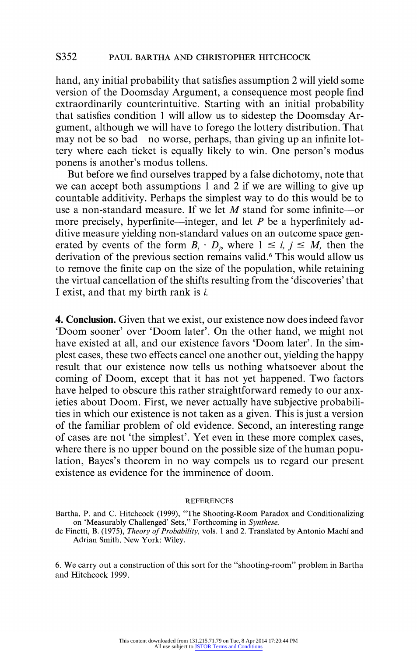**hand, any initial probability that satisfies assumption 2 will yield some version of the Doomsday Argument, a consequence most people find extraordinarily counterintuitive. Starting with an initial probability that satisfies condition 1 will allow us to sidestep the Doomsday Argument, although we will have to forego the lottery distribution. That**  may not be so bad—no worse, perhaps, than giving up an infinite lot**tery where each ticket is equally likely to win. One person's modus ponens is another's modus tollens.** 

**But before we find ourselves trapped by a false dichotomy, note that we can accept both assumptions 1 and 2 if we are willing to give up countable additivity. Perhaps the simplest way to do this would be to use a non-standard measure. If we let M stand for some infinite-or**  more precisely, hyperfinite—integer, and let P be a hyperfinitely ad**ditive measure yielding non-standard values on an outcome space gen**erated by events of the form  $B_i \cdot D_i$ , where  $1 \le i, j \le M$ , then the **derivation of the previous section remains valid.6 This would allow us to remove the finite cap on the size of the population, while retaining the virtual cancellation of the shifts resulting from the 'discoveries' that I exist, and that my birth rank is i.** 

**4. Conclusion. Given that we exist, our existence now does indeed favor 'Doom sooner' over 'Doom later'. On the other hand, we might not have existed at all, and our existence favors 'Doom later'. In the simplest cases, these two effects cancel one another out, yielding the happy result that our existence now tells us nothing whatsoever about the coming of Doom, except that it has not yet happened. Two factors have helped to obscure this rather straightforward remedy to our anxieties about Doom. First, we never actually have subjective probabilities in which our existence is not taken as a given. This is just a version of the familiar problem of old evidence. Second, an interesting range of cases are not 'the simplest'. Yet even in these more complex cases, where there is no upper bound on the possible size of the human population, Bayes's theorem in no way compels us to regard our present existence as evidence for the imminence of doom.** 

#### **REFERENCES**

**Bartha, P. and C. Hitchcock (1999), "The Shooting-Room Paradox and Conditionalizing on 'Measurably Challenged' Sets," Forthcoming in Synthese.** 

**de Finetti, B. (1975), Theory of Probability, vols. 1 and 2. Translated by Antonio Machi and Adrian Smith. New York: Wiley.** 

**6. We carry out a construction of this sort for the "shooting-room" problem in Bartha and Hitchcock 1999.**